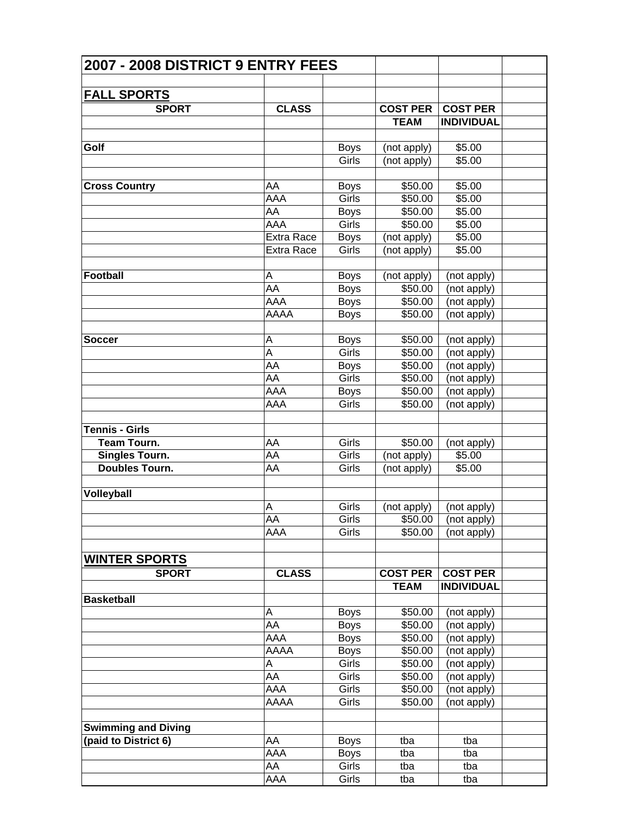| 2007 - 2008 DISTRICT 9 ENTRY FEES |                   |             |                 |                             |  |
|-----------------------------------|-------------------|-------------|-----------------|-----------------------------|--|
|                                   |                   |             |                 |                             |  |
| <u>FALL SPORTS</u>                |                   |             |                 |                             |  |
| <b>SPORT</b>                      | <b>CLASS</b>      |             | <b>COST PER</b> | <b>COST PER</b>             |  |
|                                   |                   |             | <b>TEAM</b>     | <b>INDIVIDUAL</b>           |  |
|                                   |                   |             |                 |                             |  |
| Golf                              |                   | <b>Boys</b> | (not apply)     | \$5.00                      |  |
|                                   |                   | Girls       | (not apply)     | \$5.00                      |  |
| <b>Cross Country</b>              | AA                | <b>Boys</b> | \$50.00         | \$5.00                      |  |
|                                   | AAA               | Girls       | \$50.00         | \$5.00                      |  |
|                                   | AA                | <b>Boys</b> | \$50.00         | \$5.00                      |  |
|                                   | AAA               | Girls       | \$50.00         | \$5.00                      |  |
|                                   | <b>Extra Race</b> | <b>Boys</b> | (not apply)     | \$5.00                      |  |
|                                   | <b>Extra Race</b> | Girls       | (not apply)     | \$5.00                      |  |
|                                   |                   |             |                 |                             |  |
| Football                          | A                 | <b>Boys</b> | (not apply)     | (not apply)                 |  |
|                                   | AA                | <b>Boys</b> | \$50.00         | (not apply)                 |  |
|                                   | AAA               | <b>Boys</b> | \$50.00         | (not apply)                 |  |
|                                   | AAAA              | <b>Boys</b> | \$50.00         | (not apply)                 |  |
| <b>Soccer</b>                     | A                 | <b>Boys</b> | \$50.00         | (not apply)                 |  |
|                                   | A                 | Girls       | \$50.00         | (not apply)                 |  |
|                                   | AA                | <b>Boys</b> | \$50.00         | (not apply)                 |  |
|                                   | AA                | Girls       | \$50.00         | (not apply)                 |  |
|                                   | AAA               |             | \$50.00         |                             |  |
|                                   |                   | <b>Boys</b> |                 | (not apply)                 |  |
|                                   | AAA               | Girls       | \$50.00         | (not apply)                 |  |
| Tennis - Girls                    |                   |             |                 |                             |  |
| <b>Team Tourn.</b>                | AA                | Girls       | \$50.00         | (not apply)                 |  |
| Singles Tourn.                    | AA                | Girls       | (not apply)     | \$5.00                      |  |
| <b>Doubles Tourn.</b>             | AA                | Girls       | (not apply)     | \$5.00                      |  |
| Volleyball                        |                   |             |                 |                             |  |
|                                   |                   | Girls       |                 |                             |  |
|                                   | Α<br>AA           | Girls       | (not apply)     | (not apply)                 |  |
|                                   | AAA               |             |                 | $\sqrt{$50.00}$ (not apply) |  |
|                                   |                   | Girls       | \$50.00         | (not apply)                 |  |
| <b>WINTER SPORTS</b>              |                   |             |                 |                             |  |
| <b>SPORT</b>                      | <b>CLASS</b>      |             | <b>COST PER</b> | <b>COST PER</b>             |  |
|                                   |                   |             | <b>TEAM</b>     | <b>INDIVIDUAL</b>           |  |
| <b>Basketball</b>                 |                   |             |                 |                             |  |
|                                   | Α                 | <b>Boys</b> | \$50.00         | (not apply)                 |  |
|                                   | AA                | <b>Boys</b> | \$50.00         | (not apply)                 |  |
|                                   | AAA               | <b>Boys</b> | \$50.00         | (not apply)                 |  |
|                                   | AAAA              | <b>Boys</b> | \$50.00         | (not apply)                 |  |
|                                   | A                 | Girls       | \$50.00         | (not apply)                 |  |
|                                   | AA                | Girls       | \$50.00         | (not apply)                 |  |
|                                   | AAA               | Girls       | \$50.00         | (not apply)                 |  |
|                                   | AAAA              | Girls       | \$50.00         | (not apply)                 |  |
|                                   |                   |             |                 |                             |  |
| <b>Swimming and Diving</b>        |                   |             |                 |                             |  |
| (paid to District 6)              | AA                | <b>Boys</b> | tba             | tba                         |  |
|                                   | AAA               | <b>Boys</b> | tba             | tba                         |  |
|                                   | AA                | Girls       | tba             | tba                         |  |
|                                   | AAA               | Girls       | tba             | tba                         |  |